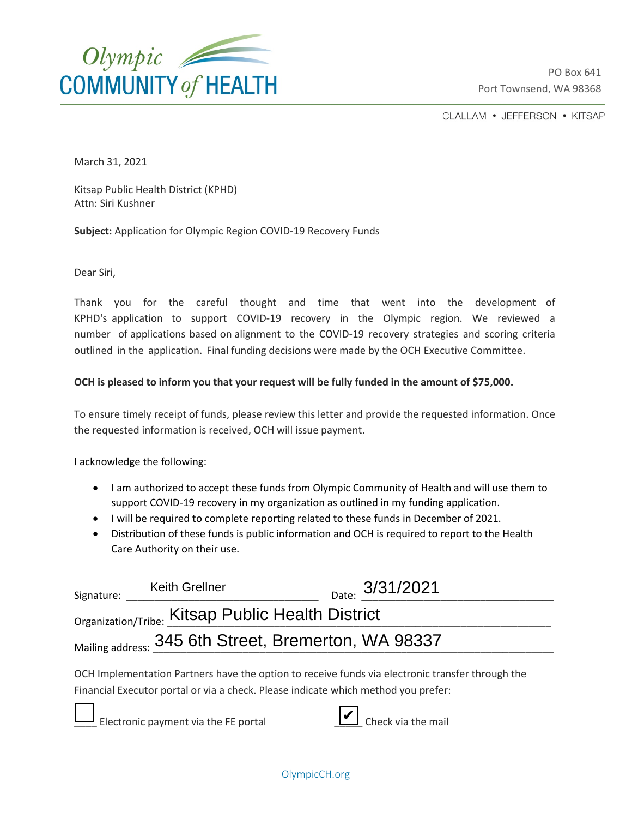

PO Box 641 Port Townsend, WA 98368

CLALLAM • JEFFERSON • KITSAP

March 31, 2021

Kitsap Public Health District (KPHD) Attn: Siri Kushner

**Subject:** Application for Olympic Region COVID-19 Recovery Funds

Dear Siri,

Thank you for the careful thought and time that went into the development of KPHD's application to support COVID-19 recovery in the Olympic region. We reviewed a number of applications based on alignment to the COVID-19 recovery strategies and scoring criteria outlined in the application. Final funding decisions were made by the OCH Executive Committee.

## **OCH is pleased to inform you that your request will be fully funded in the amount of \$75,000.**

To ensure timely receipt of funds, please review this letter and provide the requested information. Once the requested information is received, OCH will issue payment.

I acknowledge the following:

- I am authorized to accept these funds from Olympic Community of Health and will use them to support COVID-19 recovery in my organization as outlined in my funding application.
- I will be required to complete reporting related to these funds in December of 2021.
- Distribution of these funds is public information and OCH is required to report to the Health Care Authority on their use.

| Signature:                                                                                       | <b>Keith Grellner</b> | $_{\text{Date:}}$ 3/31/2021 |
|--------------------------------------------------------------------------------------------------|-----------------------|-----------------------------|
| Organization/Tribe: Kitsap Public Health District                                                |                       |                             |
| Mailing address: 345 6th Street, Bremerton, WA 98337                                             |                       |                             |
| OCH Implementation Partners have the option to receive funds via electronic transfer through the |                       |                             |

Financial Executor portal or via a check. Please indicate which method you prefer:

Electronic payment via the FE portal



OlympicCH.org